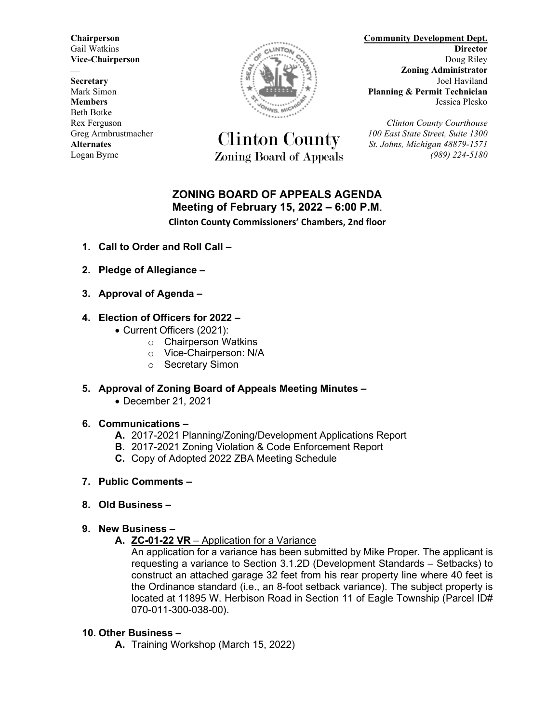Beth Botke



Greg Armbrustmacher **Clinton County** *100 East State Street, Suite 1300*<br>Alternates *Clinton County <i>St. Johns, Michigan 48879-1571* Logan Byrne Zoning Board of Appeals *(989) 224-5180*

**Chairperson Community Development Dept.** Gail Watkins **Director Director CALLINTON**<sup>\*</sup> **Vice-Chairperson** Doug Riley **Zoning Administrator Secretary** Joel Haviland **Joel Haviland Joel Haviland** Mark Simon **Planning & Permit Technician**<br>Members **Planning & Permit Technician**<br>Jessica Plesko **Members** Jessica Plesko

Rex Ferguson *Clinton County Courthouse* **Alternates** *St. Johns, Michigan 48879-1571*

## **ZONING BOARD OF APPEALS AGENDA Meeting of February 15, 2022 – 6:00 P.M**.

**Clinton County Commissioners' Chambers, 2nd floor**

- **1. Call to Order and Roll Call –**
- **2. Pledge of Allegiance –**
- **3. Approval of Agenda –**
- **4. Election of Officers for 2022 –**
	- Current Officers (2021):
		- o Chairperson Watkins
		- o Vice-Chairperson: N/A
		- o Secretary Simon
- **5. Approval of Zoning Board of Appeals Meeting Minutes –**
	- December 21, 2021

### **6. Communications –**

- **A.** 2017-2021 Planning/Zoning/Development Applications Report
- **B.** 2017-2021 Zoning Violation & Code Enforcement Report
- **C.** Copy of Adopted 2022 ZBA Meeting Schedule
- **7. Public Comments –**
- **8. Old Business –**
- **9. New Business –**
	- **A. ZC-01-22 VR** Application for a Variance

An application for a variance has been submitted by Mike Proper. The applicant is requesting a variance to Section 3.1.2D (Development Standards – Setbacks) to construct an attached garage 32 feet from his rear property line where 40 feet is the Ordinance standard (i.e., an 8-foot setback variance). The subject property is located at 11895 W. Herbison Road in Section 11 of Eagle Township (Parcel ID# 070-011-300-038-00).

### **10. Other Business –**

**A.** Training Workshop (March 15, 2022)